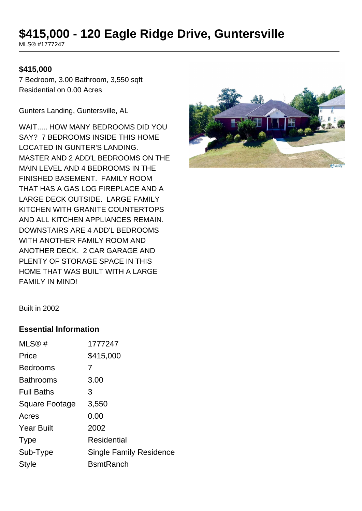# **\$415,000 - 120 Eagle Ridge Drive, Guntersville**

MLS® #1777247

## **\$415,000**

7 Bedroom, 3.00 Bathroom, 3,550 sqft Residential on 0.00 Acres

Gunters Landing, Guntersville, AL

WAIT..... HOW MANY BEDROOMS DID YOU SAY? 7 BEDROOMS INSIDE THIS HOME LOCATED IN GUNTER'S LANDING. MASTER AND 2 ADD'L BEDROOMS ON THE MAIN LEVEL AND 4 BEDROOMS IN THE FINISHED BASEMENT. FAMILY ROOM THAT HAS A GAS LOG FIREPLACE AND A LARGE DECK OUTSIDE. LARGE FAMILY KITCHEN WITH GRANITE COUNTERTOPS AND ALL KITCHEN APPLIANCES REMAIN. DOWNSTAIRS ARE 4 ADD'L BEDROOMS WITH ANOTHER FAMILY ROOM AND ANOTHER DECK. 2 CAR GARAGE AND PLENTY OF STORAGE SPACE IN THIS HOME THAT WAS BUILT WITH A LARGE FAMILY IN MIND!



Built in 2002

#### **Essential Information**

| MLS®#             | 1777247                 |
|-------------------|-------------------------|
| Price             | \$415,000               |
| <b>Bedrooms</b>   | 7                       |
| <b>Bathrooms</b>  | 3.00                    |
| <b>Full Baths</b> | 3                       |
| Square Footage    | 3,550                   |
| Acres             | 0.00                    |
| <b>Year Built</b> | 2002                    |
| <b>Type</b>       | Residential             |
| Sub-Type          | Single Family Residence |
| Style             | <b>B</b> smtRanch       |